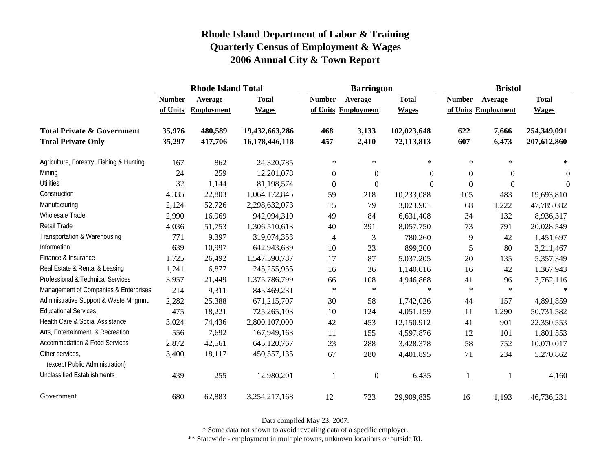|                                                   |               | <b>Rhode Island Total</b> |                |                     | <b>Barrington</b> |                | <b>Bristol</b>      |                  |                |
|---------------------------------------------------|---------------|---------------------------|----------------|---------------------|-------------------|----------------|---------------------|------------------|----------------|
|                                                   | <b>Number</b> | Average                   | <b>Total</b>   | <b>Number</b>       | Average           | <b>Total</b>   | <b>Number</b>       | Average          | <b>Total</b>   |
|                                                   | of Units      | <b>Employment</b>         | <b>Wages</b>   | of Units Employment |                   | <b>Wages</b>   | of Units Employment |                  | <b>Wages</b>   |
| <b>Total Private &amp; Government</b>             | 35,976        | 480,589                   | 19,432,663,286 | 468                 | 3,133             | 102,023,648    | 622                 | 7,666            | 254,349,091    |
| <b>Total Private Only</b>                         | 35,297        | 417,706                   | 16,178,446,118 | 457                 | 2,410             | 72,113,813     | 607                 | 6,473            | 207,612,860    |
| Agriculture, Forestry, Fishing & Hunting          | 167           | 862                       | 24,320,785     | $\ast$              | $\ast$            | $\ast$         | $\ast$              | $\ast$           | $\ast$         |
| Mining                                            | 24            | 259                       | 12,201,078     | $\boldsymbol{0}$    | $\boldsymbol{0}$  | $\overline{0}$ | $\overline{0}$      | $\theta$         | $\overline{0}$ |
| <b>Utilities</b>                                  | 32            | 1,144                     | 81,198,574     | $\boldsymbol{0}$    | $\boldsymbol{0}$  | $\overline{0}$ | $\Omega$            | $\boldsymbol{0}$ | $\overline{0}$ |
| Construction                                      | 4,335         | 22,803                    | 1,064,172,845  | 59                  | 218               | 10,233,088     | 105                 | 483              | 19,693,810     |
| Manufacturing                                     | 2,124         | 52,726                    | 2,298,632,073  | 15                  | 79                | 3,023,901      | 68                  | 1,222            | 47,785,082     |
| Wholesale Trade                                   | 2,990         | 16,969                    | 942,094,310    | 49                  | 84                | 6,631,408      | 34                  | 132              | 8,936,317      |
| <b>Retail Trade</b>                               | 4,036         | 51,753                    | 1,306,510,613  | 40                  | 391               | 8,057,750      | 73                  | 791              | 20,028,549     |
| Transportation & Warehousing                      | 771           | 9,397                     | 319,074,353    | $\overline{4}$      | 3                 | 780,260        | 9                   | 42               | 1,451,697      |
| Information                                       | 639           | 10,997                    | 642,943,639    | 10                  | 23                | 899,200        | 5                   | 80               | 3,211,467      |
| Finance & Insurance                               | 1,725         | 26,492                    | 1,547,590,787  | 17                  | 87                | 5,037,205      | 20                  | 135              | 5,357,349      |
| Real Estate & Rental & Leasing                    | 1,241         | 6,877                     | 245, 255, 955  | 16                  | 36                | 1,140,016      | 16                  | 42               | 1,367,943      |
| Professional & Technical Services                 | 3,957         | 21,449                    | 1,375,786,799  | 66                  | 108               | 4,946,868      | 41                  | 96               | 3,762,116      |
| Management of Companies & Enterprises             | 214           | 9,311                     | 845,469,231    | $\ast$              | $\star$           | $\star$        | $\ast$              | $\ast$           | $\ast$         |
| Administrative Support & Waste Mngmnt.            | 2,282         | 25,388                    | 671,215,707    | 30                  | 58                | 1,742,026      | 44                  | 157              | 4,891,859      |
| <b>Educational Services</b>                       | 475           | 18,221                    | 725,265,103    | 10                  | 124               | 4,051,159      | 11                  | 1,290            | 50,731,582     |
| Health Care & Social Assistance                   | 3,024         | 74,436                    | 2,800,107,000  | 42                  | 453               | 12,150,912     | 41                  | 901              | 22,350,553     |
| Arts, Entertainment, & Recreation                 | 556           | 7,692                     | 167,949,163    | 11                  | 155               | 4,597,876      | 12                  | 101              | 1,801,553      |
| Accommodation & Food Services                     | 2,872         | 42,561                    | 645,120,767    | 23                  | 288               | 3,428,378      | 58                  | 752              | 10,070,017     |
| Other services,<br>(except Public Administration) | 3,400         | 18,117                    | 450, 557, 135  | 67                  | 280               | 4,401,895      | 71                  | 234              | 5,270,862      |
| <b>Unclassified Establishments</b>                | 439           | 255                       | 12,980,201     |                     | $\boldsymbol{0}$  | 6,435          | 1                   |                  | 4,160          |
| Government                                        | 680           | 62,883                    | 3,254,217,168  | 12                  | 723               | 29,909,835     | 16                  | 1,193            | 46,736,231     |

Data compiled May 23, 2007.

\* Some data not shown to avoid revealing data of a specific employer.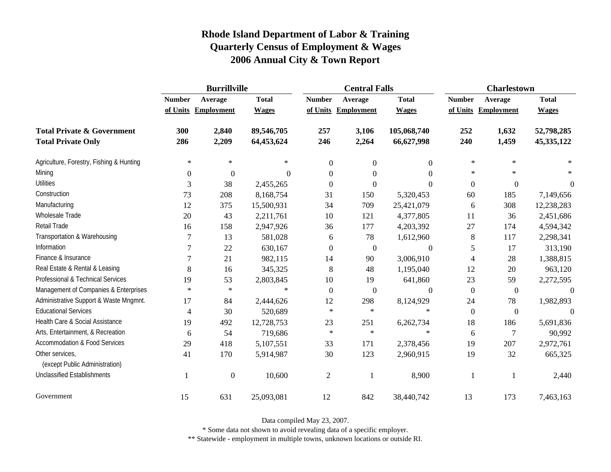|                                                   | <b>Burrillville</b> |                     |              |                | <b>Central Falls</b> |                  | <b>Charlestown</b> |                     |              |
|---------------------------------------------------|---------------------|---------------------|--------------|----------------|----------------------|------------------|--------------------|---------------------|--------------|
|                                                   | <b>Number</b>       | Average             | <b>Total</b> | <b>Number</b>  | Average              | <b>Total</b>     | <b>Number</b>      | Average             | <b>Total</b> |
|                                                   |                     | of Units Employment | <b>Wages</b> | of Units       | Employment           | <b>Wages</b>     |                    | of Units Employment | <b>Wages</b> |
| <b>Total Private &amp; Government</b>             | 300                 | 2,840               | 89,546,705   | 257            | 3,106                | 105,068,740      | 252                | 1,632               | 52,798,285   |
| <b>Total Private Only</b>                         | 286                 | 2,209               | 64,453,624   | 246            | 2,264                | 66,627,998       | 240                | 1,459               | 45,335,122   |
| Agriculture, Forestry, Fishing & Hunting          | $\ast$              | $\ast$              | $\ast$       | $\mathbf{0}$   | $\boldsymbol{0}$     | $\overline{0}$   | $\ast$             | $\ast$              | ×            |
| Mining                                            | $\boldsymbol{0}$    | $\boldsymbol{0}$    | $\Omega$     | $\theta$       | $\Omega$             | $\Omega$         | $\ast$             | $\ast$              | $\ast$       |
| <b>Utilities</b>                                  | 3                   | 38                  | 2,455,265    | $\overline{0}$ | $\overline{0}$       | $\mathbf{0}$     | $\boldsymbol{0}$   | $\theta$            | $\theta$     |
| Construction                                      | 73                  | 208                 | 8,168,754    | 31             | 150                  | 5,320,453        | 60                 | 185                 | 7,149,656    |
| Manufacturing                                     | 12                  | 375                 | 15,500,931   | 34             | 709                  | 25,421,079       | 6                  | 308                 | 12,238,283   |
| <b>Wholesale Trade</b>                            | 20                  | 43                  | 2,211,761    | 10             | 121                  | 4,377,805        | 11                 | 36                  | 2,451,686    |
| Retail Trade                                      | 16                  | 158                 | 2,947,926    | 36             | 177                  | 4,203,392        | 27                 | 174                 | 4,594,342    |
| Transportation & Warehousing                      | 7                   | 13                  | 581,028      | 6              | 78                   | 1,612,960        | $\,8\,$            | 117                 | 2,298,341    |
| Information                                       | 7                   | 22                  | 630,167      | $\overline{0}$ | $\boldsymbol{0}$     | $\boldsymbol{0}$ | 5                  | 17                  | 313,190      |
| Finance & Insurance                               | 7                   | 21                  | 982,115      | 14             | 90                   | 3,006,910        | $\overline{4}$     | 28                  | 1,388,815    |
| Real Estate & Rental & Leasing                    | 8                   | 16                  | 345,325      | 8              | 48                   | 1,195,040        | 12                 | 20                  | 963,120      |
| Professional & Technical Services                 | 19                  | 53                  | 2,803,845    | 10             | 19                   | 641,860          | 23                 | 59                  | 2,272,595    |
| Management of Companies & Enterprises             | $\ast$              | $\ast$              | $\ast$       | $\theta$       | $\overline{0}$       | $\Omega$         | $\mathbf{0}$       | $\mathbf{0}$        | $\Omega$     |
| Administrative Support & Waste Mngmnt.            | 17                  | 84                  | 2,444,626    | 12             | 298                  | 8,124,929        | 24                 | 78                  | 1,982,893    |
| <b>Educational Services</b>                       | $\overline{4}$      | 30                  | 520,689      | $\ast$         | $\ast$               | $\ast$           | $\boldsymbol{0}$   | $\mathbf{0}$        |              |
| Health Care & Social Assistance                   | 19                  | 492                 | 12,728,753   | 23             | 251                  | 6,262,734        | 18                 | 186                 | 5,691,836    |
| Arts, Entertainment, & Recreation                 | 6                   | 54                  | 719,686      | $\ast$         | $\ast$               | $\ast$           | 6                  | 7                   | 90,992       |
| <b>Accommodation &amp; Food Services</b>          | 29                  | 418                 | 5,107,551    | 33             | 171                  | 2,378,456        | 19                 | 207                 | 2,972,761    |
| Other services,<br>(except Public Administration) | 41                  | 170                 | 5,914,987    | 30             | 123                  | 2,960,915        | 19                 | 32                  | 665,325      |
| <b>Unclassified Establishments</b>                |                     | $\boldsymbol{0}$    | 10,600       | $\overline{c}$ |                      | 8,900            | $\mathbf{1}$       | 1                   | 2,440        |
| Government                                        | 15                  | 631                 | 25,093,081   | 12             | 842                  | 38,440,742       | 13                 | 173                 | 7,463,163    |

Data compiled May 23, 2007.

\* Some data not shown to avoid revealing data of a specific employer.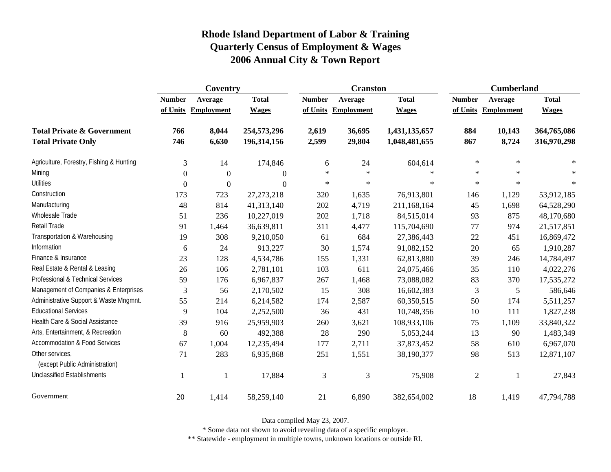|                                                   | Coventry      |                     |                  |               | <b>Cranston</b>     |               | <b>Cumberland</b> |            |              |
|---------------------------------------------------|---------------|---------------------|------------------|---------------|---------------------|---------------|-------------------|------------|--------------|
|                                                   | <b>Number</b> | Average             | <b>Total</b>     | <b>Number</b> | Average             | <b>Total</b>  | <b>Number</b>     | Average    | <b>Total</b> |
|                                                   |               | of Units Employment | <b>Wages</b>     |               | of Units Employment | <b>Wages</b>  | of Units          | Employment | <b>Wages</b> |
| <b>Total Private &amp; Government</b>             | 766           | 8,044               | 254,573,296      | 2,619         | 36,695              | 1,431,135,657 | 884               | 10,143     | 364,765,086  |
| <b>Total Private Only</b>                         | 746           | 6,630               | 196, 314, 156    | 2,599         | 29,804              | 1,048,481,655 | 867               | 8,724      | 316,970,298  |
| Agriculture, Forestry, Fishing & Hunting          | 3             | 14                  | 174,846          | 6             | 24                  | 604,614       | $\ast$            | $\ast$     |              |
| Mining                                            | $\Omega$      | $\theta$            | $\overline{0}$   | $\ast$        | $\ast$              | $\ast$        | $\ast$            | $\ast$     |              |
| <b>Utilities</b>                                  | $\Omega$      | $\boldsymbol{0}$    | $\boldsymbol{0}$ | $\ast$        | $\ast$              | $\ast$        | $\ast$            | $\star$    |              |
| Construction                                      | 173           | 723                 | 27, 273, 218     | 320           | 1,635               | 76,913,801    | 146               | 1,129      | 53,912,185   |
| Manufacturing                                     | 48            | 814                 | 41,313,140       | 202           | 4,719               | 211,168,164   | 45                | 1,698      | 64,528,290   |
| <b>Wholesale Trade</b>                            | 51            | 236                 | 10,227,019       | 202           | 1,718               | 84,515,014    | 93                | 875        | 48,170,680   |
| Retail Trade                                      | 91            | 1,464               | 36,639,811       | 311           | 4,477               | 115,704,690   | 77                | 974        | 21,517,851   |
| Transportation & Warehousing                      | 19            | 308                 | 9,210,050        | 61            | 684                 | 27,386,443    | $22\,$            | 451        | 16,869,472   |
| Information                                       | 6             | 24                  | 913,227          | 30            | 1,574               | 91,082,152    | 20                | 65         | 1,910,287    |
| Finance & Insurance                               | 23            | 128                 | 4,534,786        | 155           | 1,331               | 62,813,880    | 39                | 246        | 14,784,497   |
| Real Estate & Rental & Leasing                    | 26            | 106                 | 2,781,101        | 103           | 611                 | 24,075,466    | 35                | 110        | 4,022,276    |
| Professional & Technical Services                 | 59            | 176                 | 6,967,837        | 267           | 1,468               | 73,088,082    | 83                | 370        | 17,535,272   |
| Management of Companies & Enterprises             | 3             | 56                  | 2,170,502        | 15            | 308                 | 16,602,383    | 3                 | 5          | 586,646      |
| Administrative Support & Waste Mngmnt.            | 55            | 214                 | 6,214,582        | 174           | 2,587               | 60,350,515    | 50                | 174        | 5,511,257    |
| <b>Educational Services</b>                       | 9             | 104                 | 2,252,500        | 36            | 431                 | 10,748,356    | 10                | 111        | 1,827,238    |
| Health Care & Social Assistance                   | 39            | 916                 | 25,959,903       | 260           | 3,621               | 108,933,106   | 75                | 1,109      | 33,840,322   |
| Arts, Entertainment, & Recreation                 | 8             | 60                  | 492,388          | 28            | 290                 | 5,053,244     | 13                | 90         | 1,483,349    |
| <b>Accommodation &amp; Food Services</b>          | 67            | 1,004               | 12,235,494       | 177           | 2,711               | 37,873,452    | 58                | 610        | 6,967,070    |
| Other services,<br>(except Public Administration) | 71            | 283                 | 6,935,868        | 251           | 1,551               | 38,190,377    | 98                | 513        | 12,871,107   |
| <b>Unclassified Establishments</b>                | $\mathbf{1}$  | 1                   | 17,884           | 3             | 3                   | 75,908        | $\overline{2}$    | 1          | 27,843       |
| Government                                        | 20            | 1,414               | 58,259,140       | 21            | 6,890               | 382,654,002   | 18                | 1,419      | 47,794,788   |

Data compiled May 23, 2007.

\* Some data not shown to avoid revealing data of a specific employer.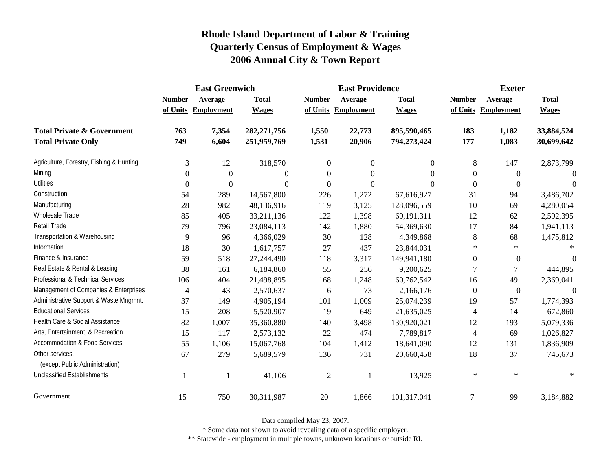|                                                   | <b>East Greenwich</b> |                     |                |                  | <b>East Providence</b> |                  | <b>Exeter</b>    |                     |              |
|---------------------------------------------------|-----------------------|---------------------|----------------|------------------|------------------------|------------------|------------------|---------------------|--------------|
|                                                   | <b>Number</b>         | Average             | <b>Total</b>   | <b>Number</b>    | Average                | <b>Total</b>     | <b>Number</b>    | Average             | <b>Total</b> |
|                                                   |                       | of Units Employment | <b>Wages</b>   |                  | of Units Employment    | <b>Wages</b>     |                  | of Units Employment | <b>Wages</b> |
| <b>Total Private &amp; Government</b>             | 763                   | 7,354               | 282, 271, 756  | 1,550            | 22,773                 | 895,590,465      | 183              | 1,182               | 33,884,524   |
| <b>Total Private Only</b>                         | 749                   | 6,604               | 251,959,769    | 1,531            | 20,906                 | 794,273,424      | 177              | 1,083               | 30,699,642   |
| Agriculture, Forestry, Fishing & Hunting          | 3                     | 12                  | 318,570        | $\boldsymbol{0}$ | $\boldsymbol{0}$       | $\boldsymbol{0}$ | 8                | 147                 | 2,873,799    |
| Mining                                            | 0                     | $\boldsymbol{0}$    | $\overline{0}$ | $\theta$         | $\mathbf{0}$           | $\Omega$         | $\overline{0}$   | $\theta$            |              |
| <b>Utilities</b>                                  | $\boldsymbol{0}$      | $\mathbf{0}$        | $\mathbf{0}$   | $\boldsymbol{0}$ | $\boldsymbol{0}$       | $\Omega$         | $\boldsymbol{0}$ | $\overline{0}$      | $\Omega$     |
| Construction                                      | 54                    | 289                 | 14,567,800     | 226              | 1,272                  | 67,616,927       | 31               | 94                  | 3,486,702    |
| Manufacturing                                     | 28                    | 982                 | 48,136,916     | 119              | 3,125                  | 128,096,559      | 10               | 69                  | 4,280,054    |
| Wholesale Trade                                   | 85                    | 405                 | 33,211,136     | 122              | 1,398                  | 69,191,311       | 12               | 62                  | 2,592,395    |
| Retail Trade                                      | 79                    | 796                 | 23,084,113     | 142              | 1,880                  | 54,369,630       | 17               | 84                  | 1,941,113    |
| Transportation & Warehousing                      | 9                     | 96                  | 4,366,029      | 30               | 128                    | 4,349,868        | $\,8\,$          | 68                  | 1,475,812    |
| Information                                       | 18                    | 30                  | 1,617,757      | 27               | 437                    | 23,844,031       | $\ast$           | $\ast$              |              |
| Finance & Insurance                               | 59                    | 518                 | 27,244,490     | 118              | 3,317                  | 149,941,180      | $\boldsymbol{0}$ | $\boldsymbol{0}$    | $\Omega$     |
| Real Estate & Rental & Leasing                    | 38                    | 161                 | 6,184,860      | 55               | 256                    | 9,200,625        | 7                | $\tau$              | 444,895      |
| Professional & Technical Services                 | 106                   | 404                 | 21,498,895     | 168              | 1,248                  | 60,762,542       | 16               | 49                  | 2,369,041    |
| Management of Companies & Enterprises             | 4                     | 43                  | 2,570,637      | 6                | 73                     | 2,166,176        | $\boldsymbol{0}$ | $\boldsymbol{0}$    | $\theta$     |
| Administrative Support & Waste Mngmnt.            | 37                    | 149                 | 4,905,194      | 101              | 1,009                  | 25,074,239       | 19               | 57                  | 1,774,393    |
| <b>Educational Services</b>                       | 15                    | 208                 | 5,520,907      | 19               | 649                    | 21,635,025       | $\overline{4}$   | 14                  | 672,860      |
| Health Care & Social Assistance                   | 82                    | 1,007               | 35,360,880     | 140              | 3,498                  | 130,920,021      | 12               | 193                 | 5,079,336    |
| Arts, Entertainment, & Recreation                 | 15                    | 117                 | 2,573,132      | 22               | 474                    | 7,789,817        | 4                | 69                  | 1,026,827    |
| Accommodation & Food Services                     | 55                    | 1,106               | 15,067,768     | 104              | 1,412                  | 18,641,090       | 12               | 131                 | 1,836,909    |
| Other services,<br>(except Public Administration) | 67                    | 279                 | 5,689,579      | 136              | 731                    | 20,660,458       | 18               | 37                  | 745,673      |
| <b>Unclassified Establishments</b>                |                       | -1                  | 41,106         | $\overline{2}$   | $\mathbf{1}$           | 13,925           | $\ast$           | $\ast$              |              |
| Government                                        | 15                    | 750                 | 30,311,987     | 20               | 1,866                  | 101,317,041      | 7                | 99                  | 3,184,882    |

Data compiled May 23, 2007.

\* Some data not shown to avoid revealing data of a specific employer.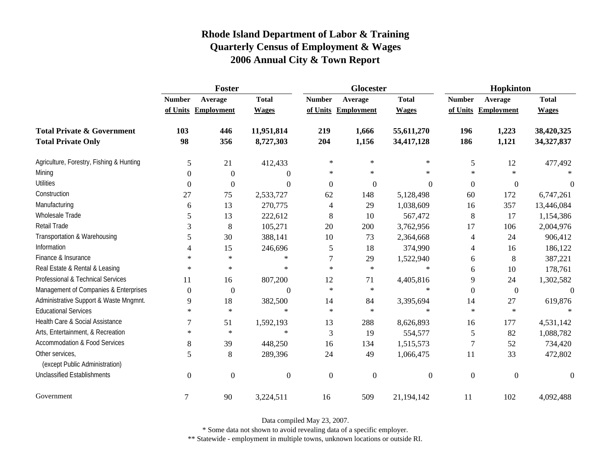|                                                   | Foster           |                     |              |                | Glocester      |                | Hopkinton      |                     |              |
|---------------------------------------------------|------------------|---------------------|--------------|----------------|----------------|----------------|----------------|---------------------|--------------|
|                                                   | <b>Number</b>    | Average             | <b>Total</b> | <b>Number</b>  | Average        | <b>Total</b>   | <b>Number</b>  | Average             | <b>Total</b> |
|                                                   |                  | of Units Employment | <b>Wages</b> | of Units       | Employment     | <b>Wages</b>   |                | of Units Employment | <b>Wages</b> |
| <b>Total Private &amp; Government</b>             | 103              | 446                 | 11,951,814   | 219            | 1,666          | 55,611,270     | 196            | 1,223               | 38,420,325   |
| <b>Total Private Only</b>                         | 98               | 356                 | 8,727,303    | 204            | 1,156          | 34,417,128     | 186            | 1,121               | 34,327,837   |
| Agriculture, Forestry, Fishing & Hunting          | 5                | 21                  | 412,433      | $\ast$         | $\ast$         | $\ast$         | $\sqrt{5}$     | 12                  | 477,492      |
| Mining                                            | $\theta$         | $\theta$            | $\Omega$     | *              | $\ast$         | $\ast$         | $\ast$         | $\ast$              |              |
| <b>Utilities</b>                                  | $\boldsymbol{0}$ | $\boldsymbol{0}$    | $\Omega$     | $\overline{0}$ | $\overline{0}$ | $\overline{0}$ | $\overline{0}$ | $\boldsymbol{0}$    | $\theta$     |
| Construction                                      | 27               | 75                  | 2,533,727    | 62             | 148            | 5,128,498      | 60             | 172                 | 6,747,261    |
| Manufacturing                                     | 6                | 13                  | 270,775      | 4              | 29             | 1,038,609      | 16             | 357                 | 13,446,084   |
| <b>Wholesale Trade</b>                            | 5                | 13                  | 222,612      | 8              | 10             | 567,472        | 8              | 17                  | 1,154,386    |
| Retail Trade                                      | 3                | 8                   | 105,271      | 20             | 200            | 3,762,956      | 17             | 106                 | 2,004,976    |
| Transportation & Warehousing                      | 5                | 30                  | 388,141      | 10             | 73             | 2,364,668      | 4              | 24                  | 906,412      |
| Information                                       | 4                | 15                  | 246,696      | 5              | 18             | 374,990        | 4              | 16                  | 186,122      |
| Finance & Insurance                               | $\ast$           | $\ast$              | $\ast$       | 7              | 29             | 1,522,940      | 6              | 8                   | 387,221      |
| Real Estate & Rental & Leasing                    | $\ast$           | $\ast$              | $\ast$       | $\star$        | $\ast$         | $\ast$         | 6              | 10                  | 178,761      |
| Professional & Technical Services                 | 11               | 16                  | 807,200      | 12             | 71             | 4,405,816      | $\overline{9}$ | 24                  | 1,302,582    |
| Management of Companies & Enterprises             | $\boldsymbol{0}$ | $\boldsymbol{0}$    | $\Omega$     | $\ast$         | $\ast$         | $\ast$         | $\overline{0}$ | $\overline{0}$      | $\Omega$     |
| Administrative Support & Waste Mngmnt.            | 9                | 18                  | 382,500      | 14             | 84             | 3,395,694      | 14             | 27                  | 619,876      |
| <b>Educational Services</b>                       | $\star$          | $\ast$              | $\ast$       | $\star$        | $\ast$         | $\ast$         | $\ast$         | $\ast$              |              |
| Health Care & Social Assistance                   | 7                | 51                  | 1,592,193    | 13             | 288            | 8,626,893      | 16             | 177                 | 4,531,142    |
| Arts, Entertainment, & Recreation                 | $\ast$           | $\ast$              | $\ast$       | 3              | 19             | 554,577        | 5              | 82                  | 1,088,782    |
| <b>Accommodation &amp; Food Services</b>          | 8                | 39                  | 448,250      | 16             | 134            | 1,515,573      | $\overline{7}$ | 52                  | 734,420      |
| Other services,<br>(except Public Administration) | 5                | 8                   | 289,396      | 24             | 49             | 1,066,475      | 11             | 33                  | 472,802      |
| <b>Unclassified Establishments</b>                | $\overline{0}$   | $\overline{0}$      | $\theta$     | $\theta$       | $\theta$       | $\overline{0}$ | $\mathbf{0}$   | $\mathbf{0}$        | $\Omega$     |
| Government                                        | $\tau$           | 90                  | 3,224,511    | 16             | 509            | 21,194,142     | 11             | 102                 | 4,092,488    |

Data compiled May 23, 2007.

\* Some data not shown to avoid revealing data of a specific employer.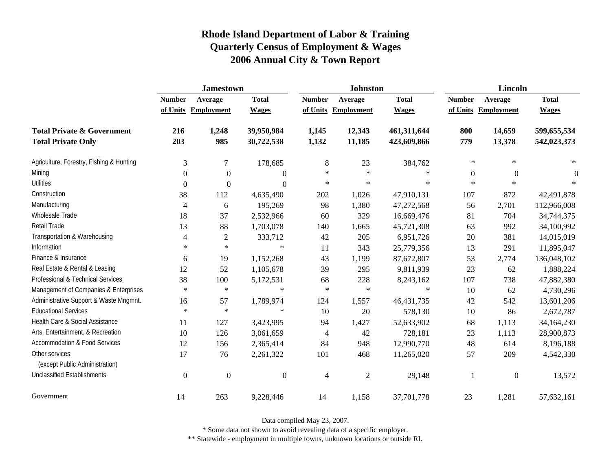|                                                   | <b>Jamestown</b> |                     |                  |                | <b>Johnston</b>     |              | Lincoln          |                  |              |
|---------------------------------------------------|------------------|---------------------|------------------|----------------|---------------------|--------------|------------------|------------------|--------------|
|                                                   | <b>Number</b>    | Average             | <b>Total</b>     | <b>Number</b>  | Average             | <b>Total</b> | <b>Number</b>    | Average          | <b>Total</b> |
|                                                   |                  | of Units Employment | <b>Wages</b>     |                | of Units Employment | <b>Wages</b> | of Units         | Employment       | <b>Wages</b> |
| <b>Total Private &amp; Government</b>             | 216              | 1,248               | 39,950,984       | 1,145          | 12,343              | 461,311,644  | 800              | 14,659           | 599,655,534  |
| <b>Total Private Only</b>                         | 203              | 985                 | 30,722,538       | 1,132          | 11,185              | 423,609,866  | 779              | 13,378           | 542,023,373  |
| Agriculture, Forestry, Fishing & Hunting          | $\mathfrak{Z}$   | $\boldsymbol{7}$    | 178,685          | $8\phantom{1}$ | 23                  | 384,762      | $\ast$           | $\ast$           | $*$          |
| Mining                                            | $\Omega$         | $\overline{0}$      | $\overline{0}$   | $\ast$         | $\ast$              | $\ast$       | $\boldsymbol{0}$ | $\mathbf{0}$     | $\theta$     |
| <b>Utilities</b>                                  | $\boldsymbol{0}$ | $\overline{0}$      | $\boldsymbol{0}$ | $\ast$         | $\ast$              | $\ast$       | $\ast$           | $\ast$           |              |
| Construction                                      | 38               | 112                 | 4,635,490        | 202            | 1,026               | 47,910,131   | 107              | 872              | 42,491,878   |
| Manufacturing                                     | 4                | 6                   | 195,269          | 98             | 1,380               | 47,272,568   | 56               | 2,701            | 112,966,008  |
| <b>Wholesale Trade</b>                            | 18               | 37                  | 2,532,966        | 60             | 329                 | 16,669,476   | 81               | 704              | 34,744,375   |
| Retail Trade                                      | 13               | 88                  | 1,703,078        | 140            | 1,665               | 45,721,308   | 63               | 992              | 34,100,992   |
| Transportation & Warehousing                      | 4                | $\overline{c}$      | 333,712          | 42             | 205                 | 6,951,726    | 20               | 381              | 14,015,019   |
| Information                                       | $\ast$           | $\ast$              | $\ast$           | 11             | 343                 | 25,779,356   | 13               | 291              | 11,895,047   |
| Finance & Insurance                               | 6                | 19                  | 1,152,268        | 43             | 1,199               | 87,672,807   | 53               | 2,774            | 136,048,102  |
| Real Estate & Rental & Leasing                    | 12               | 52                  | 1,105,678        | 39             | 295                 | 9,811,939    | 23               | 62               | 1,888,224    |
| Professional & Technical Services                 | 38               | 100                 | 5,172,531        | 68             | 228                 | 8,243,162    | 107              | 738              | 47,882,380   |
| Management of Companies & Enterprises             | $\ast$           | $\ast$              | $\ast$           | $\ast$         | $\ast$              | $\ast$       | 10               | 62               | 4,730,296    |
| Administrative Support & Waste Mngmnt.            | 16               | 57                  | 1,789,974        | 124            | 1,557               | 46, 431, 735 | 42               | 542              | 13,601,206   |
| <b>Educational Services</b>                       | $\ast$           | $\ast$              | $\ast$           | 10             | 20                  | 578,130      | 10               | 86               | 2,672,787    |
| Health Care & Social Assistance                   | 11               | 127                 | 3,423,995        | 94             | 1,427               | 52,633,902   | 68               | 1,113            | 34,164,230   |
| Arts, Entertainment, & Recreation                 | 10               | 126                 | 3,061,659        | $\overline{4}$ | 42                  | 728,181      | 23               | 1,113            | 28,900,873   |
| <b>Accommodation &amp; Food Services</b>          | 12               | 156                 | 2,365,414        | 84             | 948                 | 12,990,770   | 48               | 614              | 8,196,188    |
| Other services,<br>(except Public Administration) | 17               | 76                  | 2,261,322        | 101            | 468                 | 11,265,020   | 57               | 209              | 4,542,330    |
| <b>Unclassified Establishments</b>                | $\theta$         | $\Omega$            | $\boldsymbol{0}$ | $\overline{4}$ | $\mathfrak{2}$      | 29,148       | 1                | $\boldsymbol{0}$ | 13,572       |
| Government                                        | 14               | 263                 | 9,228,446        | 14             | 1,158               | 37,701,778   | 23               | 1,281            | 57,632,161   |

Data compiled May 23, 2007.

\* Some data not shown to avoid revealing data of a specific employer.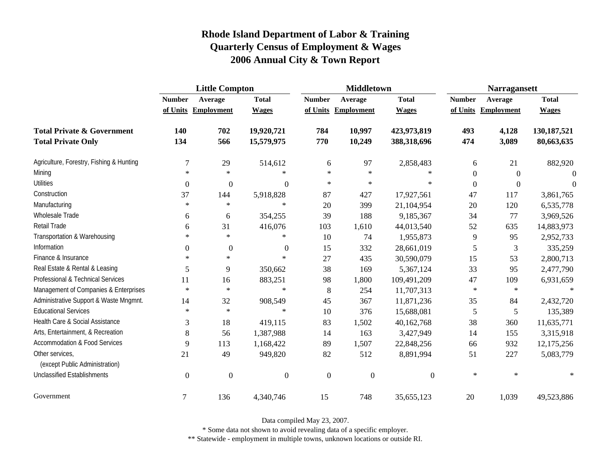|                                                   | <b>Little Compton</b> |                     |              |                  | <b>Middletown</b>   |              | <b>Narragansett</b> |                     |               |
|---------------------------------------------------|-----------------------|---------------------|--------------|------------------|---------------------|--------------|---------------------|---------------------|---------------|
|                                                   | <b>Number</b>         | Average             | <b>Total</b> | <b>Number</b>    | Average             | <b>Total</b> | <b>Number</b>       | Average             | <b>Total</b>  |
|                                                   |                       | of Units Employment | <b>Wages</b> |                  | of Units Employment | <b>Wages</b> |                     | of Units Employment | <b>Wages</b>  |
| <b>Total Private &amp; Government</b>             | 140                   | 702                 | 19,920,721   | 784              | 10,997              | 423,973,819  | 493                 | 4,128               | 130, 187, 521 |
| <b>Total Private Only</b>                         | 134                   | 566                 | 15,579,975   | 770              | 10,249              | 388,318,696  | 474                 | 3,089               | 80,663,635    |
| Agriculture, Forestry, Fishing & Hunting          | $\tau$                | 29                  | 514,612      | 6                | 97                  | 2,858,483    | 6                   | 21                  | 882,920       |
| Mining                                            | $\ast$                | $\ast$              | $\ast$       | $\ast$           | $\ast$              | $\ast$       | $\Omega$            | $\mathbf{0}$        | $\Omega$      |
| <b>Utilities</b>                                  | $\boldsymbol{0}$      | $\boldsymbol{0}$    | $\mathbf{0}$ | $\ast$           | $\ast$              | $\ast$       | $\overline{0}$      | $\boldsymbol{0}$    | $\Omega$      |
| Construction                                      | 37                    | 144                 | 5,918,828    | 87               | 427                 | 17,927,561   | 47                  | 117                 | 3,861,765     |
| Manufacturing                                     | $\ast$                | $\ast$              | $\ast$       | 20               | 399                 | 21,104,954   | 20                  | 120                 | 6,535,778     |
| Wholesale Trade                                   | 6                     | 6                   | 354,255      | 39               | 188                 | 9,185,367    | 34                  | 77                  | 3,969,526     |
| Retail Trade                                      | 6                     | 31                  | 416,076      | 103              | 1,610               | 44,013,540   | 52                  | 635                 | 14,883,973    |
| Transportation & Warehousing                      | $\ast$                | $\ast$              | $\ast$       | 10               | 74                  | 1,955,873    | 9                   | 95                  | 2,952,733     |
| Information                                       | $\Omega$              | $\boldsymbol{0}$    | $\theta$     | 15               | 332                 | 28,661,019   | 5                   | 3                   | 335,259       |
| Finance & Insurance                               | $\ast$                | $\ast$              | $\ast$       | 27               | 435                 | 30,590,079   | 15                  | 53                  | 2,800,713     |
| Real Estate & Rental & Leasing                    | 5                     | 9                   | 350,662      | 38               | 169                 | 5,367,124    | 33                  | 95                  | 2,477,790     |
| Professional & Technical Services                 | 11                    | 16                  | 883,251      | 98               | 1,800               | 109,491,209  | 47                  | 109                 | 6,931,659     |
| Management of Companies & Enterprises             | $\ast$                | $\ast$              | $\ast$       | 8                | 254                 | 11,707,313   | $\ast$              | $\ast$              | $\ast$        |
| Administrative Support & Waste Mngmnt.            | 14                    | 32                  | 908,549      | 45               | 367                 | 11,871,236   | 35                  | 84                  | 2,432,720     |
| <b>Educational Services</b>                       | $\ast$                | $\ast$              | $\ast$       | 10               | 376                 | 15,688,081   | 5                   | 5                   | 135,389       |
| Health Care & Social Assistance                   | 3                     | 18                  | 419,115      | 83               | 1,502               | 40,162,768   | 38                  | 360                 | 11,635,771    |
| Arts, Entertainment, & Recreation                 | 8                     | 56                  | 1,387,988    | 14               | 163                 | 3,427,949    | 14                  | 155                 | 3,315,918     |
| <b>Accommodation &amp; Food Services</b>          | 9                     | 113                 | 1,168,422    | 89               | 1,507               | 22,848,256   | 66                  | 932                 | 12,175,256    |
| Other services,<br>(except Public Administration) | 21                    | 49                  | 949,820      | 82               | 512                 | 8,891,994    | 51                  | 227                 | 5,083,779     |
| <b>Unclassified Establishments</b>                | $\boldsymbol{0}$      | $\boldsymbol{0}$    | $\mathbf{0}$ | $\boldsymbol{0}$ | $\overline{0}$      | $\Omega$     | $\ast$              | $\ast$              |               |
| Government                                        | 7                     | 136                 | 4,340,746    | 15               | 748                 | 35,655,123   | 20                  | 1,039               | 49,523,886    |

Data compiled May 23, 2007.

\* Some data not shown to avoid revealing data of a specific employer.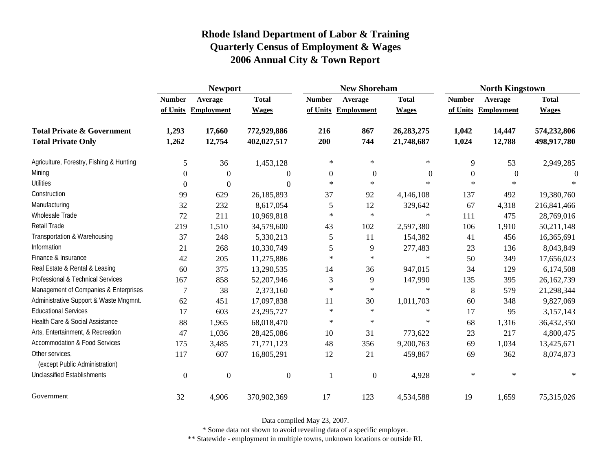|                                                   | <b>Newport</b>   |                   |                  |                | <b>New Shoreham</b> |                | <b>North Kingstown</b> |            |              |
|---------------------------------------------------|------------------|-------------------|------------------|----------------|---------------------|----------------|------------------------|------------|--------------|
|                                                   | <b>Number</b>    | Average           | <b>Total</b>     | <b>Number</b>  | Average             | <b>Total</b>   | <b>Number</b>          | Average    | <b>Total</b> |
|                                                   | of Units         | <b>Employment</b> | <b>Wages</b>     |                | of Units Employment | <b>Wages</b>   | of Units               | Employment | <b>Wages</b> |
| <b>Total Private &amp; Government</b>             | 1,293            | 17,660            | 772,929,886      | 216            | 867                 | 26, 283, 275   | 1,042                  | 14,447     | 574,232,806  |
| <b>Total Private Only</b>                         | 1,262            | 12,754            | 402,027,517      | 200            | 744                 | 21,748,687     | 1,024                  | 12,788     | 498,917,780  |
| Agriculture, Forestry, Fishing & Hunting          | 5                | 36                | 1,453,128        | $\star$        | $\ast$              | $\ast$         | 9                      | 53         | 2,949,285    |
| Mining                                            | 0                | $\mathbf{0}$      | $\theta$         | $\overline{0}$ | $\mathbf{0}$        | $\overline{0}$ | $\boldsymbol{0}$       | $\theta$   | $\Omega$     |
| <b>Utilities</b>                                  | $\boldsymbol{0}$ | $\boldsymbol{0}$  | $\theta$         | $\ast$         | $\ast$              | $\ast$         | $\ast$                 | $\ast$     |              |
| Construction                                      | 99               | 629               | 26,185,893       | 37             | 92                  | 4,146,108      | 137                    | 492        | 19,380,760   |
| Manufacturing                                     | 32               | 232               | 8,617,054        | 5              | 12                  | 329,642        | 67                     | 4,318      | 216,841,466  |
| Wholesale Trade                                   | 72               | 211               | 10,969,818       | $\ast$         | $\ast$              | $\ast$         | 111                    | 475        | 28,769,016   |
| Retail Trade                                      | 219              | 1,510             | 34,579,600       | 43             | 102                 | 2,597,380      | 106                    | 1,910      | 50,211,148   |
| Transportation & Warehousing                      | 37               | 248               | 5,330,213        | 5              | 11                  | 154,382        | 41                     | 456        | 16,365,691   |
| Information                                       | 21               | 268               | 10,330,749       | 5              | 9                   | 277,483        | 23                     | 136        | 8,043,849    |
| Finance & Insurance                               | 42               | 205               | 11,275,886       | $\ast$         | $\ast$              | $\ast$         | 50                     | 349        | 17,656,023   |
| Real Estate & Rental & Leasing                    | 60               | 375               | 13,290,535       | 14             | 36                  | 947,015        | 34                     | 129        | 6,174,508    |
| Professional & Technical Services                 | 167              | 858               | 52,207,946       | 3              | 9                   | 147,990        | 135                    | 395        | 26,162,739   |
| Management of Companies & Enterprises             | 7                | 38                | 2,373,160        | $\ast$         | $\ast$              | $\ast$         | 8                      | 579        | 21,298,344   |
| Administrative Support & Waste Mngmnt.            | 62               | 451               | 17,097,838       | 11             | 30                  | 1,011,703      | 60                     | 348        | 9,827,069    |
| <b>Educational Services</b>                       | 17               | 603               | 23,295,727       | $\ast$         | $\ast$              | $\ast$         | 17                     | 95         | 3,157,143    |
| Health Care & Social Assistance                   | 88               | 1,965             | 68,018,470       | $\star$        | $\ast$              | $\ast$         | 68                     | 1,316      | 36,432,350   |
| Arts, Entertainment, & Recreation                 | 47               | 1,036             | 28,425,086       | 10             | 31                  | 773,622        | 23                     | 217        | 4,800,475    |
| Accommodation & Food Services                     | 175              | 3,485             | 71,771,123       | 48             | 356                 | 9,200,763      | 69                     | 1,034      | 13,425,671   |
| Other services,<br>(except Public Administration) | 117              | 607               | 16,805,291       | 12             | 21                  | 459,867        | 69                     | 362        | 8,074,873    |
| <b>Unclassified Establishments</b>                | $\boldsymbol{0}$ | $\Omega$          | $\boldsymbol{0}$ |                | $\overline{0}$      | 4,928          | $\ast$                 | $\ast$     |              |
| Government                                        | 32               | 4,906             | 370,902,369      | 17             | 123                 | 4,534,588      | 19                     | 1,659      | 75,315,026   |

Data compiled May 23, 2007.

\* Some data not shown to avoid revealing data of a specific employer.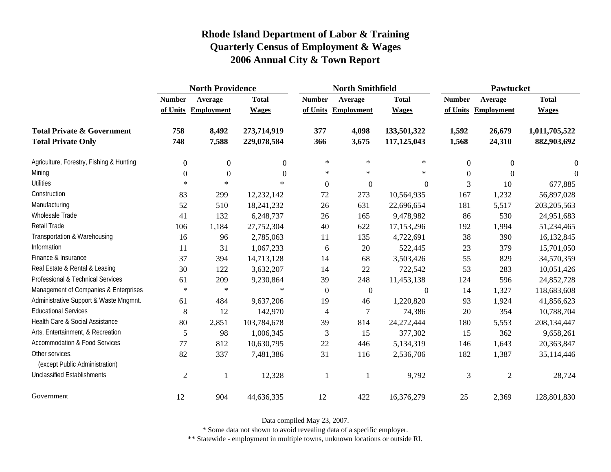|                                                   | <b>North Providence</b> |                     |                  |                  | <b>North Smithfield</b> |              | <b>Pawtucket</b> |                     |                  |
|---------------------------------------------------|-------------------------|---------------------|------------------|------------------|-------------------------|--------------|------------------|---------------------|------------------|
|                                                   | <b>Number</b>           | Average             | <b>Total</b>     | <b>Number</b>    | Average                 | <b>Total</b> | <b>Number</b>    | Average             | <b>Total</b>     |
|                                                   |                         | of Units Employment | <b>Wages</b>     |                  | of Units Employment     | <b>Wages</b> |                  | of Units Employment | <b>Wages</b>     |
| <b>Total Private &amp; Government</b>             | 758                     | 8,492               | 273,714,919      | 377              | 4,098                   | 133,501,322  | 1,592            | 26,679              | 1,011,705,522    |
| <b>Total Private Only</b>                         | 748                     | 7,588               | 229,078,584      | 366              | 3,675                   | 117,125,043  | 1,568            | 24,310              | 882,903,692      |
| Agriculture, Forestry, Fishing & Hunting          | $\overline{0}$          | $\boldsymbol{0}$    | $\boldsymbol{0}$ | $\ast$           | $\ast$                  | $\ast$       | $\overline{0}$   | $\boldsymbol{0}$    | $\boldsymbol{0}$ |
| Mining                                            | $\Omega$                | $\theta$            | $\theta$         | $\ast$           | $\ast$                  | $\ast$       | $\Omega$         | $\theta$            | $\Omega$         |
| <b>Utilities</b>                                  | $\ast$                  | $\ast$              | $\ast$           | $\boldsymbol{0}$ | $\boldsymbol{0}$        | $\Omega$     | 3                | 10                  | 677,885          |
| Construction                                      | 83                      | 299                 | 12,232,142       | 72               | 273                     | 10,564,935   | 167              | 1,232               | 56,897,028       |
| Manufacturing                                     | 52                      | 510                 | 18,241,232       | 26               | 631                     | 22,696,654   | 181              | 5,517               | 203, 205, 563    |
| <b>Wholesale Trade</b>                            | 41                      | 132                 | 6,248,737        | 26               | 165                     | 9,478,982    | 86               | 530                 | 24,951,683       |
| Retail Trade                                      | 106                     | 1,184               | 27,752,304       | 40               | 622                     | 17,153,296   | 192              | 1,994               | 51,234,465       |
| Transportation & Warehousing                      | 16                      | 96                  | 2,785,063        | 11               | 135                     | 4,722,691    | 38               | 390                 | 16,132,845       |
| Information                                       | 11                      | 31                  | 1,067,233        | 6                | 20                      | 522,445      | 23               | 379                 | 15,701,050       |
| Finance & Insurance                               | 37                      | 394                 | 14,713,128       | 14               | 68                      | 3,503,426    | 55               | 829                 | 34,570,359       |
| Real Estate & Rental & Leasing                    | 30                      | 122                 | 3,632,207        | 14               | 22                      | 722,542      | 53               | 283                 | 10,051,426       |
| Professional & Technical Services                 | 61                      | 209                 | 9,230,864        | 39               | 248                     | 11,453,138   | 124              | 596                 | 24,852,728       |
| Management of Companies & Enterprises             | $\ast$                  | $\ast$              | $\ast$           | $\boldsymbol{0}$ | $\boldsymbol{0}$        | $\mathbf{0}$ | 14               | 1,327               | 118,683,608      |
| Administrative Support & Waste Mngmnt.            | 61                      | 484                 | 9,637,206        | 19               | 46                      | 1,220,820    | 93               | 1,924               | 41,856,623       |
| <b>Educational Services</b>                       | 8                       | 12                  | 142,970          | 4                | $\overline{7}$          | 74,386       | 20               | 354                 | 10,788,704       |
| Health Care & Social Assistance                   | $80\,$                  | 2,851               | 103,784,678      | 39               | 814                     | 24,272,444   | 180              | 5,553               | 208,134,447      |
| Arts, Entertainment, & Recreation                 | 5                       | 98                  | 1,006,345        | 3                | 15                      | 377,302      | 15               | 362                 | 9,658,261        |
| Accommodation & Food Services                     | 77                      | 812                 | 10,630,795       | $22\,$           | 446                     | 5,134,319    | 146              | 1,643               | 20,363,847       |
| Other services,<br>(except Public Administration) | 82                      | 337                 | 7,481,386        | 31               | 116                     | 2,536,706    | 182              | 1,387               | 35,114,446       |
| <b>Unclassified Establishments</b>                | $\overline{2}$          | 1                   | 12,328           |                  | $\overline{\mathbf{1}}$ | 9,792        | 3                | $\overline{c}$      | 28,724           |
| Government                                        | 12                      | 904                 | 44,636,335       | 12               | 422                     | 16,376,279   | 25               | 2,369               | 128,801,830      |

Data compiled May 23, 2007.

\* Some data not shown to avoid revealing data of a specific employer.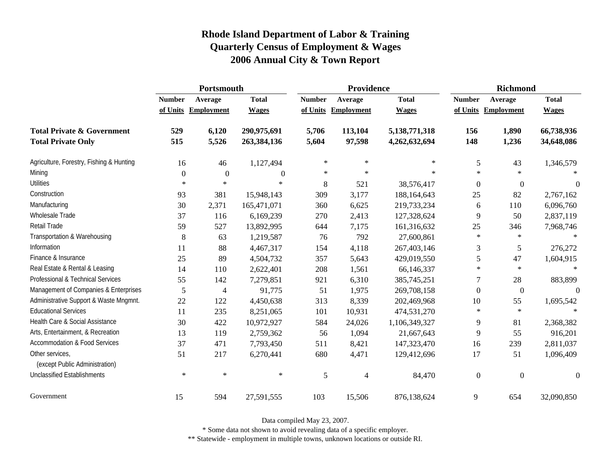|                                                   | Portsmouth    |                     |                  |               | Providence        |               | <b>Richmond</b>  |                     |                  |
|---------------------------------------------------|---------------|---------------------|------------------|---------------|-------------------|---------------|------------------|---------------------|------------------|
|                                                   | <b>Number</b> | Average             | <b>Total</b>     | <b>Number</b> | Average           | <b>Total</b>  | <b>Number</b>    | Average             | <b>Total</b>     |
|                                                   |               | of Units Employment | <b>Wages</b>     | of Units      | <b>Employment</b> | <b>Wages</b>  |                  | of Units Employment | <b>Wages</b>     |
| <b>Total Private &amp; Government</b>             | 529           | 6,120               | 290,975,691      | 5,706         | 113,104           | 5,138,771,318 | 156              | 1,890               | 66,738,936       |
| <b>Total Private Only</b>                         | 515           | 5,526               | 263,384,136      | 5,604         | 97,598            | 4,262,632,694 | 148              | 1,236               | 34,648,086       |
| Agriculture, Forestry, Fishing & Hunting          | 16            | 46                  | 1,127,494        | $\ast$        | $\ast$            | ∗             | 5                | 43                  | 1,346,579        |
| Mining                                            | $\Omega$      | $\mathbf{0}$        | $\boldsymbol{0}$ | $\ast$        | $\ast$            | $\ast$        | $\ast$           | $\star$             |                  |
| <b>Utilities</b>                                  | $\ast$        | $\ast$              | $\ast$           | 8             | 521               | 38,576,417    | $\boldsymbol{0}$ | $\boldsymbol{0}$    | $\boldsymbol{0}$ |
| Construction                                      | 93            | 381                 | 15,948,143       | 309           | 3,177             | 188,164,643   | 25               | 82                  | 2,767,162        |
| Manufacturing                                     | 30            | 2,371               | 165,471,071      | 360           | 6,625             | 219,733,234   | 6                | 110                 | 6,096,760        |
| Wholesale Trade                                   | 37            | 116                 | 6,169,239        | 270           | 2,413             | 127,328,624   | 9                | 50                  | 2,837,119        |
| Retail Trade                                      | 59            | 527                 | 13,892,995       | 644           | 7,175             | 161,316,632   | 25               | 346                 | 7,968,746        |
| Transportation & Warehousing                      | 8             | 63                  | 1,219,587        | 76            | 792               | 27,600,861    | $\ast$           | $\ast$              | $\ast$           |
| Information                                       | 11            | 88                  | 4,467,317        | 154           | 4,118             | 267,403,146   | 3                | 5                   | 276,272          |
| Finance & Insurance                               | 25            | 89                  | 4,504,732        | 357           | 5,643             | 429,019,550   | 5                | 47                  | 1,604,915        |
| Real Estate & Rental & Leasing                    | 14            | 110                 | 2,622,401        | 208           | 1,561             | 66,146,337    | $\ast$           | $\ast$              |                  |
| Professional & Technical Services                 | 55            | 142                 | 7,279,851        | 921           | 6,310             | 385,745,251   | 7                | 28                  | 883,899          |
| Management of Companies & Enterprises             | 5             | 4                   | 91,775           | 51            | 1,975             | 269,708,158   | $\Omega$         | $\boldsymbol{0}$    | $\Omega$         |
| Administrative Support & Waste Mngmnt.            | 22            | 122                 | 4,450,638        | 313           | 8,339             | 202,469,968   | 10               | 55                  | 1,695,542        |
| <b>Educational Services</b>                       | 11            | 235                 | 8,251,065        | 101           | 10,931            | 474,531,270   | $\ast$           | $\ast$              |                  |
| Health Care & Social Assistance                   | 30            | 422                 | 10,972,927       | 584           | 24,026            | 1,106,349,327 | 9                | 81                  | 2,368,382        |
| Arts, Entertainment, & Recreation                 | 13            | 119                 | 2,759,362        | 56            | 1,094             | 21,667,643    | 9                | 55                  | 916,201          |
| <b>Accommodation &amp; Food Services</b>          | 37            | 471                 | 7,793,450        | 511           | 8,421             | 147,323,470   | 16               | 239                 | 2,811,037        |
| Other services,<br>(except Public Administration) | 51            | 217                 | 6,270,441        | 680           | 4,471             | 129,412,696   | 17               | 51                  | 1,096,409        |
| <b>Unclassified Establishments</b>                | $\ast$        | $\ast$              | $\ast$           | 5             | $\overline{4}$    | 84,470        | $\boldsymbol{0}$ | $\boldsymbol{0}$    | $\boldsymbol{0}$ |
| Government                                        | 15            | 594                 | 27,591,555       | 103           | 15,506            | 876,138,624   | 9                | 654                 | 32,090,850       |

Data compiled May 23, 2007.

\* Some data not shown to avoid revealing data of a specific employer.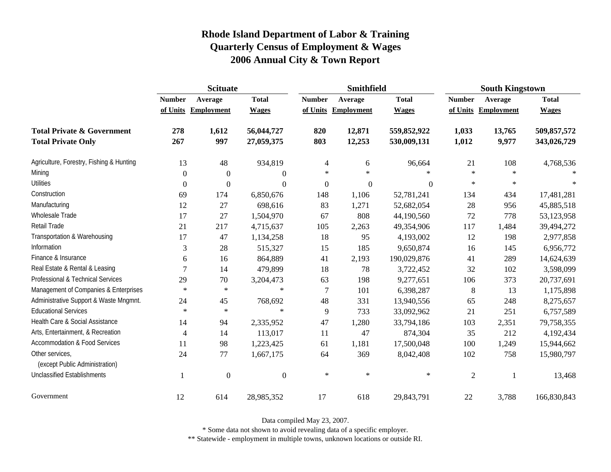|                                                   | <b>Scituate</b> |                     |                  |                  | <b>Smithfield</b> |                  | <b>South Kingstown</b> |            |              |
|---------------------------------------------------|-----------------|---------------------|------------------|------------------|-------------------|------------------|------------------------|------------|--------------|
|                                                   | <b>Number</b>   | Average             | <b>Total</b>     | <b>Number</b>    | Average           | <b>Total</b>     | <b>Number</b>          | Average    | <b>Total</b> |
|                                                   |                 | of Units Employment | <b>Wages</b>     | of Units         | Employment        | <b>Wages</b>     | of Units               | Employment | <b>Wages</b> |
| <b>Total Private &amp; Government</b>             | 278             | 1,612               | 56,044,727       | 820              | 12,871            | 559,852,922      | 1,033                  | 13,765     | 509,857,572  |
| <b>Total Private Only</b>                         | 267             | 997                 | 27,059,375       | 803              | 12,253            | 530,009,131      | 1,012                  | 9,977      | 343,026,729  |
| Agriculture, Forestry, Fishing & Hunting          | 13              | 48                  | 934,819          | $\overline{4}$   | 6                 | 96,664           | 21                     | 108        | 4,768,536    |
| Mining                                            | $\Omega$        | $\overline{0}$      | $\theta$         | $\ast$           | $\ast$            | $\ast$           | $\ast$                 | $\star$    |              |
| <b>Utilities</b>                                  | $\overline{0}$  | $\boldsymbol{0}$    | $\boldsymbol{0}$ | $\boldsymbol{0}$ | $\boldsymbol{0}$  | $\boldsymbol{0}$ | $\ast$                 | $\star$    |              |
| Construction                                      | 69              | 174                 | 6,850,676        | 148              | 1,106             | 52,781,241       | 134                    | 434        | 17,481,281   |
| Manufacturing                                     | 12              | 27                  | 698,616          | 83               | 1,271             | 52,682,054       | 28                     | 956        | 45,885,518   |
| Wholesale Trade                                   | 17              | 27                  | 1,504,970        | 67               | 808               | 44,190,560       | 72                     | 778        | 53,123,958   |
| Retail Trade                                      | 21              | 217                 | 4,715,637        | 105              | 2,263             | 49,354,906       | 117                    | 1,484      | 39,494,272   |
| Transportation & Warehousing                      | 17              | 47                  | 1,134,258        | 18               | 95                | 4,193,002        | 12                     | 198        | 2,977,858    |
| Information                                       | 3               | 28                  | 515,327          | 15               | 185               | 9,650,874        | 16                     | 145        | 6,956,772    |
| Finance & Insurance                               | 6               | 16                  | 864,889          | 41               | 2,193             | 190,029,876      | 41                     | 289        | 14,624,639   |
| Real Estate & Rental & Leasing                    | 7               | 14                  | 479,899          | 18               | 78                | 3,722,452        | 32                     | 102        | 3,598,099    |
| Professional & Technical Services                 | 29              | 70                  | 3,204,473        | 63               | 198               | 9,277,651        | 106                    | 373        | 20,737,691   |
| Management of Companies & Enterprises             | $\ast$          | $\ast$              | $\ast$           | 7                | 101               | 6,398,287        | $\,8\,$                | 13         | 1,175,898    |
| Administrative Support & Waste Mngmnt.            | 24              | 45                  | 768,692          | 48               | 331               | 13,940,556       | 65                     | 248        | 8,275,657    |
| <b>Educational Services</b>                       | $\ast$          | $\ast$              | $\ast$           | 9                | 733               | 33,092,962       | 21                     | 251        | 6,757,589    |
| Health Care & Social Assistance                   | 14              | 94                  | 2,335,952        | 47               | 1,280             | 33,794,186       | 103                    | 2,351      | 79,758,355   |
| Arts, Entertainment, & Recreation                 | 4               | 14                  | 113,017          | 11               | 47                | 874,304          | 35                     | 212        | 4,192,434    |
| <b>Accommodation &amp; Food Services</b>          | 11              | 98                  | 1,223,425        | 61               | 1,181             | 17,500,048       | 100                    | 1,249      | 15,944,662   |
| Other services,<br>(except Public Administration) | 24              | 77                  | 1,667,175        | 64               | 369               | 8,042,408        | 102                    | 758        | 15,980,797   |
| <b>Unclassified Establishments</b>                | $\mathbf{1}$    | $\Omega$            | $\boldsymbol{0}$ | $\ast$           | $\ast$            | $\ast$           | $\mathfrak{2}$         |            | 13,468       |
| Government                                        | 12              | 614                 | 28,985,352       | 17               | 618               | 29,843,791       | 22                     | 3,788      | 166,830,843  |

Data compiled May 23, 2007.

\* Some data not shown to avoid revealing data of a specific employer.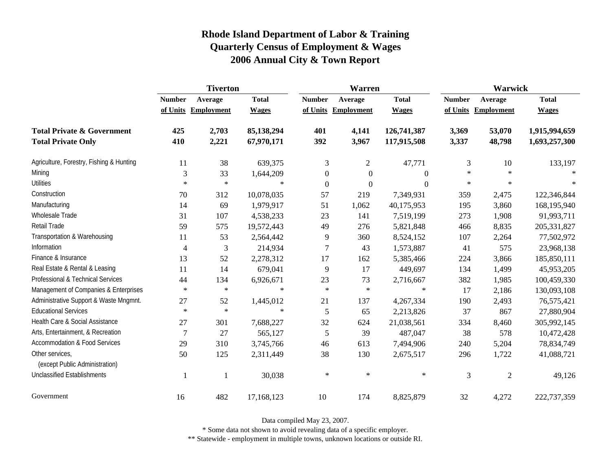|                                                   | <b>Tiverton</b> |                     |              |                  | <b>Warren</b>       |                  | Warwick       |              |               |  |
|---------------------------------------------------|-----------------|---------------------|--------------|------------------|---------------------|------------------|---------------|--------------|---------------|--|
|                                                   | <b>Number</b>   | Average             | <b>Total</b> | <b>Number</b>    | Average             | <b>Total</b>     | <b>Number</b> | Average      | <b>Total</b>  |  |
|                                                   |                 | of Units Employment | <b>Wages</b> |                  | of Units Employment | <b>Wages</b>     | of Units      | Employment   | <b>Wages</b>  |  |
| <b>Total Private &amp; Government</b>             | 425             | 2,703               | 85,138,294   | 401              | 4,141               | 126,741,387      | 3,369         | 53,070       | 1,915,994,659 |  |
| <b>Total Private Only</b>                         | 410             | 2,221               | 67,970,171   | 392              | 3,967               | 117,915,508      | 3,337         | 48,798       | 1,693,257,300 |  |
| Agriculture, Forestry, Fishing & Hunting          | 11              | 38                  | 639,375      | 3                | $\overline{c}$      | 47,771           | 3             | 10           | 133,197       |  |
| Mining                                            | 3               | 33                  | 1,644,209    | $\boldsymbol{0}$ | $\boldsymbol{0}$    | $\Omega$         | $\ast$        | $\ast$       |               |  |
| <b>Utilities</b>                                  | $\ast$          | $\ast$              | $\ast$       | $\boldsymbol{0}$ | $\boldsymbol{0}$    | $\boldsymbol{0}$ | $\ast$        | $\ast$       | $\ast$        |  |
| Construction                                      | 70              | 312                 | 10,078,035   | 57               | 219                 | 7,349,931        | 359           | 2,475        | 122,346,844   |  |
| Manufacturing                                     | 14              | 69                  | 1,979,917    | 51               | 1,062               | 40,175,953       | 195           | 3,860        | 168,195,940   |  |
| <b>Wholesale Trade</b>                            | 31              | 107                 | 4,538,233    | 23               | 141                 | 7,519,199        | 273           | 1,908        | 91,993,711    |  |
| Retail Trade                                      | 59              | 575                 | 19,572,443   | 49               | 276                 | 5,821,848        | 466           | 8,835        | 205, 331, 827 |  |
| Transportation & Warehousing                      | 11              | 53                  | 2,564,442    | 9                | 360                 | 8,524,152        | 107           | 2,264        | 77,502,972    |  |
| Information                                       | $\overline{4}$  | 3                   | 214,934      | $\tau$           | 43                  | 1,573,887        | 41            | 575          | 23,968,138    |  |
| Finance & Insurance                               | 13              | 52                  | 2,278,312    | 17               | 162                 | 5,385,466        | 224           | 3,866        | 185,850,111   |  |
| Real Estate & Rental & Leasing                    | 11              | 14                  | 679,041      | 9                | 17                  | 449,697          | 134           | 1,499        | 45,953,205    |  |
| Professional & Technical Services                 | 44              | 134                 | 6,926,671    | 23               | 73                  | 2,716,667        | 382           | 1,985        | 100,459,330   |  |
| Management of Companies & Enterprises             | $\ast$          | $\ast$              | $\ast$       | $\ast$           | $\ast$              | $\ast$           | 17            | 2,186        | 130,093,108   |  |
| Administrative Support & Waste Mngmnt.            | 27              | 52                  | 1,445,012    | 21               | 137                 | 4,267,334        | 190           | 2,493        | 76,575,421    |  |
| <b>Educational Services</b>                       | $\ast$          | $\ast$              | $\star$      | 5                | 65                  | 2,213,826        | 37            | 867          | 27,880,904    |  |
| Health Care & Social Assistance                   | 27              | 301                 | 7,688,227    | 32               | 624                 | 21,038,561       | 334           | 8,460        | 305,992,145   |  |
| Arts, Entertainment, & Recreation                 | 7               | 27                  | 565,127      | 5                | 39                  | 487,047          | 38            | 578          | 10,472,428    |  |
| <b>Accommodation &amp; Food Services</b>          | 29              | 310                 | 3,745,766    | 46               | 613                 | 7,494,906        | 240           | 5,204        | 78,834,749    |  |
| Other services,<br>(except Public Administration) | 50              | 125                 | 2,311,449    | 38               | 130                 | 2,675,517        | 296           | 1,722        | 41,088,721    |  |
| <b>Unclassified Establishments</b>                |                 | $\mathbf{1}$        | 30,038       | $\ast$           | $\ast$              | $\ast$           | 3             | $\mathbf{2}$ | 49,126        |  |
| Government                                        | 16              | 482                 | 17,168,123   | 10               | 174                 | 8,825,879        | 32            | 4,272        | 222,737,359   |  |

Data compiled May 23, 2007.

\* Some data not shown to avoid revealing data of a specific employer.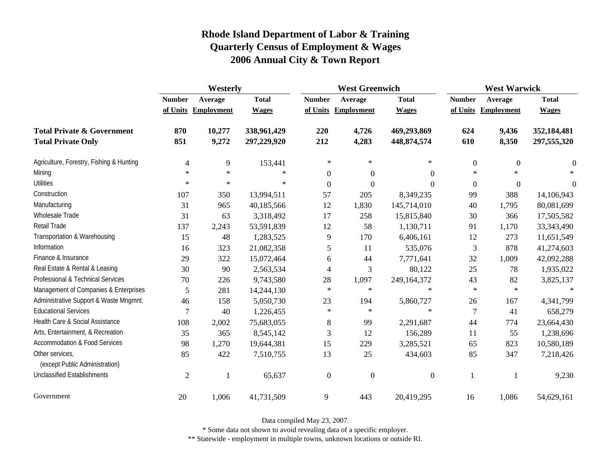|                                                   | Westerly       |                   |              |                  | <b>West Greenwich</b> |                  |                  | <b>West Warwick</b> |              |  |
|---------------------------------------------------|----------------|-------------------|--------------|------------------|-----------------------|------------------|------------------|---------------------|--------------|--|
|                                                   | <b>Number</b>  | Average           | <b>Total</b> | <b>Number</b>    | Average               | <b>Total</b>     | <b>Number</b>    | Average             | <b>Total</b> |  |
|                                                   | of Units       | <b>Employment</b> | <b>Wages</b> | of Units         | Employment            | <b>Wages</b>     |                  | of Units Employment | <b>Wages</b> |  |
| <b>Total Private &amp; Government</b>             | 870            | 10,277            | 338,961,429  | 220              | 4,726                 | 469,293,869      | 624              | 9,436               | 352,184,481  |  |
| <b>Total Private Only</b>                         | 851            | 9,272             | 297,229,920  | 212              | 4,283                 | 448, 874, 574    | 610              | 8,350               | 297,555,320  |  |
| Agriculture, Forestry, Fishing & Hunting          | $\overline{4}$ | 9                 | 153,441      | $\ast$           | $\ast$                | $\ast$           | $\boldsymbol{0}$ | $\boldsymbol{0}$    | $\theta$     |  |
| Mining                                            | $\ast$         | $\ast$            | $\ast$       | $\boldsymbol{0}$ | $\boldsymbol{0}$      | $\theta$         | $\ast$           | $\ast$              |              |  |
| <b>Utilities</b>                                  | $\ast$         | $\ast$            | $\ast$       | $\boldsymbol{0}$ | $\overline{0}$        | $\boldsymbol{0}$ | $\Omega$         | $\boldsymbol{0}$    | $\theta$     |  |
| Construction                                      | 107            | 350               | 13,994,511   | 57               | 205                   | 8,349,235        | 99               | 388                 | 14,106,943   |  |
| Manufacturing                                     | 31             | 965               | 40,185,566   | 12               | 1,830                 | 145,714,010      | 40               | 1,795               | 80,081,699   |  |
| Wholesale Trade                                   | 31             | 63                | 3,318,492    | 17               | 258                   | 15,815,840       | 30               | 366                 | 17,505,582   |  |
| Retail Trade                                      | 137            | 2,243             | 53,591,839   | 12               | 58                    | 1,130,711        | 91               | 1,170               | 33, 343, 490 |  |
| Transportation & Warehousing                      | 15             | 48                | 1,283,525    | 9                | 170                   | 6,406,161        | 12               | 273                 | 11,651,549   |  |
| Information                                       | 16             | 323               | 21,082,358   | 5                | 11                    | 535,076          | 3                | 878                 | 41,274,603   |  |
| Finance & Insurance                               | 29             | 322               | 15,072,464   | 6                | 44                    | 7,771,641        | 32               | 1,009               | 42,092,288   |  |
| Real Estate & Rental & Leasing                    | 30             | 90                | 2,563,534    | 4                | 3                     | 80,122           | 25               | 78                  | 1,935,022    |  |
| Professional & Technical Services                 | 70             | 226               | 9,743,580    | 28               | 1,097                 | 249,164,372      | 43               | 82                  | 3,825,137    |  |
| Management of Companies & Enterprises             | 5              | 281               | 14,244,130   | $\ast$           | $\ast$                | $\ast$           | $\ast$           | $\ast$              | $\ast$       |  |
| Administrative Support & Waste Mngmnt.            | 46             | 158               | 5,050,730    | 23               | 194                   | 5,860,727        | 26               | 167                 | 4,341,799    |  |
| <b>Educational Services</b>                       | 7              | 40                | 1,226,455    | $\ast$           | $\ast$                | $\ast$           | $\tau$           | 41                  | 658,279      |  |
| Health Care & Social Assistance                   | 108            | 2,002             | 75,683,055   | $8\,$            | 99                    | 2,291,687        | 44               | 774                 | 23,664,430   |  |
| Arts, Entertainment, & Recreation                 | 35             | 365               | 8,545,142    | 3                | 12                    | 156,289          | 11               | 55                  | 1,238,696    |  |
| <b>Accommodation &amp; Food Services</b>          | 98             | 1,270             | 19,644,381   | 15               | 229                   | 3,285,521        | 65               | 823                 | 10,580,189   |  |
| Other services,<br>(except Public Administration) | 85             | 422               | 7,510,755    | 13               | 25                    | 434,603          | 85               | 347                 | 7,218,426    |  |
| <b>Unclassified Establishments</b>                | $\mathbf{2}$   | 1                 | 65,637       | $\boldsymbol{0}$ | $\boldsymbol{0}$      | $\boldsymbol{0}$ | 1                |                     | 9,230        |  |
| Government                                        | $20\,$         | 1,006             | 41,731,509   | 9                | 443                   | 20,419,295       | 16               | 1,086               | 54,629,161   |  |

Data compiled May 23, 2007.

\* Some data not shown to avoid revealing data of a specific employer.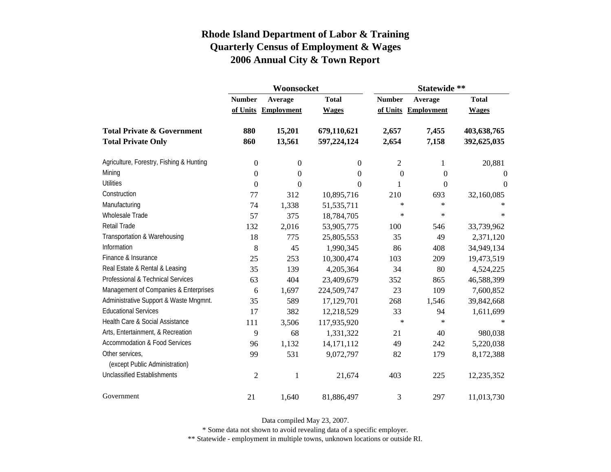|                                          |                  | Woonsocket        |                | Statewide **   |                     |                |  |
|------------------------------------------|------------------|-------------------|----------------|----------------|---------------------|----------------|--|
|                                          | <b>Number</b>    | Average           | <b>Total</b>   | <b>Number</b>  | Average             | <b>Total</b>   |  |
|                                          | of Units         | <b>Employment</b> | <b>Wages</b>   |                | of Units Employment | <b>Wages</b>   |  |
| <b>Total Private &amp; Government</b>    | 880              | 15,201            | 679,110,621    | 2,657          | 7,455               | 403,638,765    |  |
| <b>Total Private Only</b>                | 860              | 13,561            | 597,224,124    | 2,654          | 7,158               | 392,625,035    |  |
| Agriculture, Forestry, Fishing & Hunting | $\boldsymbol{0}$ | $\boldsymbol{0}$  | $\overline{0}$ | 2              | 1                   | 20,881         |  |
| Mining                                   | $\overline{0}$   | $\overline{0}$    | $\overline{0}$ | $\overline{0}$ | $\overline{0}$      | $\Omega$       |  |
| <b>Utilities</b>                         | $\boldsymbol{0}$ | $\overline{0}$    | $\Omega$       | 1              | $\overline{0}$      | $\overline{0}$ |  |
| Construction                             | 77               | 312               | 10,895,716     | 210            | 693                 | 32,160,085     |  |
| Manufacturing                            | 74               | 1,338             | 51,535,711     | $\ast$         | $\ast$              |                |  |
| <b>Wholesale Trade</b>                   | 57               | 375               | 18,784,705     | $\ast$         | $\ast$              | $\ast$         |  |
| <b>Retail Trade</b>                      | 132              | 2,016             | 53,905,775     | 100            | 546                 | 33,739,962     |  |
| Transportation & Warehousing             | 18               | 775               | 25,805,553     | 35             | 49                  | 2,371,120      |  |
| Information                              | 8                | 45                | 1,990,345      | 86             | 408                 | 34,949,134     |  |
| Finance & Insurance                      | 25               | 253               | 10,300,474     | 103            | 209                 | 19,473,519     |  |
| Real Estate & Rental & Leasing           | 35               | 139               | 4,205,364      | 34             | 80                  | 4,524,225      |  |
| Professional & Technical Services        | 63               | 404               | 23,409,679     | 352            | 865                 | 46,588,399     |  |
| Management of Companies & Enterprises    | 6                | 1,697             | 224,509,747    | 23             | 109                 | 7,600,852      |  |
| Administrative Support & Waste Mngmnt.   | 35               | 589               | 17,129,701     | 268            | 1,546               | 39,842,668     |  |
| <b>Educational Services</b>              | 17               | 382               | 12,218,529     | 33             | 94                  | 1,611,699      |  |
| Health Care & Social Assistance          | 111              | 3,506             | 117,935,920    | $\ast$         | $\ast$              | ∗              |  |
| Arts, Entertainment, & Recreation        | 9                | 68                | 1,331,322      | 21             | 40                  | 980,038        |  |
| <b>Accommodation &amp; Food Services</b> | 96               | 1,132             | 14, 171, 112   | 49             | 242                 | 5,220,038      |  |
| Other services,                          | 99               | 531               | 9,072,797      | 82             | 179                 | 8,172,388      |  |
| (except Public Administration)           |                  |                   |                |                |                     |                |  |
| <b>Unclassified Establishments</b>       | $\overline{2}$   | 1                 | 21,674         | 403            | 225                 | 12,235,352     |  |
| Government                               | 21               | 1,640             | 81,886,497     | 3              | 297                 | 11,013,730     |  |

Data compiled May 23, 2007.

\* Some data not shown to avoid revealing data of a specific employer.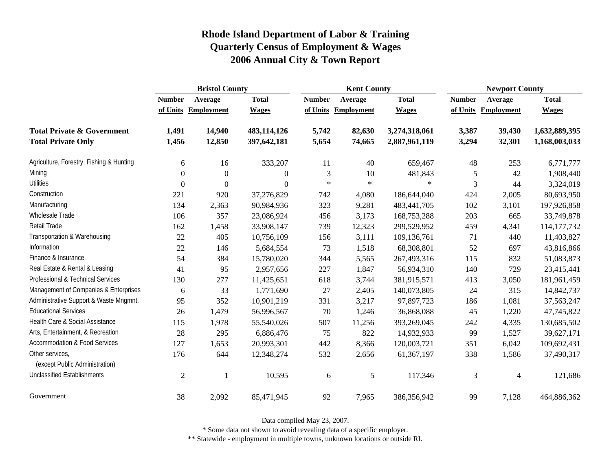|                                                   | <b>Bristol County</b> |                     |                |               | <b>Kent County</b>  |               | <b>Newport County</b> |                          |               |
|---------------------------------------------------|-----------------------|---------------------|----------------|---------------|---------------------|---------------|-----------------------|--------------------------|---------------|
|                                                   | <b>Number</b>         | Average             | <b>Total</b>   | <b>Number</b> | Average             | <b>Total</b>  | <b>Number</b>         | Average                  | <b>Total</b>  |
|                                                   |                       | of Units Employment | <b>Wages</b>   |               | of Units Employment | <b>Wages</b>  | of Units              | <b>Employment</b>        | <b>Wages</b>  |
| <b>Total Private &amp; Government</b>             | 1,491                 | 14,940              | 483,114,126    | 5,742         | 82,630              | 3,274,318,061 | 3,387                 | 39,430                   | 1,632,889,395 |
| <b>Total Private Only</b>                         | 1,456                 | 12,850              | 397,642,181    | 5,654         | 74,665              | 2,887,961,119 | 3,294                 | 32,301                   | 1,168,003,033 |
| Agriculture, Forestry, Fishing & Hunting          | 6                     | 16                  | 333,207        | 11            | 40                  | 659,467       | 48                    | 253                      | 6,771,777     |
| Mining                                            | $\theta$              | $\boldsymbol{0}$    | $\mathbf{0}$   | 3             | 10                  | 481,843       | 5                     | 42                       | 1,908,440     |
| <b>Utilities</b>                                  | $\Omega$              | $\mathbf{0}$        | $\overline{0}$ | $\star$       | $\ast$              | $\ast$        | 3                     | 44                       | 3,324,019     |
| Construction                                      | 221                   | 920                 | 37,276,829     | 742           | 4,080               | 186,644,040   | 424                   | 2,005                    | 80,693,950    |
| Manufacturing                                     | 134                   | 2,363               | 90,984,936     | 323           | 9,281               | 483, 441, 705 | 102                   | 3,101                    | 197,926,858   |
| Wholesale Trade                                   | 106                   | 357                 | 23,086,924     | 456           | 3,173               | 168,753,288   | 203                   | 665                      | 33,749,878    |
| Retail Trade                                      | 162                   | 1,458               | 33,908,147     | 739           | 12,323              | 299,529,952   | 459                   | 4,341                    | 114, 177, 732 |
| Transportation & Warehousing                      | 22                    | 405                 | 10,756,109     | 156           | 3,111               | 109,136,761   | 71                    | 440                      | 11,403,827    |
| Information                                       | 22                    | 146                 | 5,684,554      | 73            | 1,518               | 68,308,801    | 52                    | 697                      | 43,816,866    |
| Finance & Insurance                               | 54                    | 384                 | 15,780,020     | 344           | 5,565               | 267,493,316   | 115                   | 832                      | 51,083,873    |
| Real Estate & Rental & Leasing                    | 41                    | 95                  | 2,957,656      | 227           | 1,847               | 56,934,310    | 140                   | 729                      | 23,415,441    |
| Professional & Technical Services                 | 130                   | 277                 | 11,425,651     | 618           | 3,744               | 381,915,571   | 413                   | 3,050                    | 181,961,459   |
| Management of Companies & Enterprises             | 6                     | 33                  | 1,771,690      | 27            | 2,405               | 140,073,805   | 24                    | 315                      | 14,842,737    |
| Administrative Support & Waste Mngmnt.            | 95                    | 352                 | 10,901,219     | 331           | 3,217               | 97,897,723    | 186                   | 1,081                    | 37,563,247    |
| <b>Educational Services</b>                       | 26                    | 1,479               | 56,996,567     | 70            | 1,246               | 36,868,088    | 45                    | 1,220                    | 47,745,822    |
| Health Care & Social Assistance                   | 115                   | 1,978               | 55,540,026     | 507           | 11,256              | 393,269,045   | 242                   | 4,335                    | 130,685,502   |
| Arts, Entertainment, & Recreation                 | 28                    | 295                 | 6,886,476      | 75            | 822                 | 14,932,933    | 99                    | 1,527                    | 39,627,171    |
| <b>Accommodation &amp; Food Services</b>          | 127                   | 1,653               | 20,993,301     | 442           | 8,366               | 120,003,721   | 351                   | 6,042                    | 109,692,431   |
| Other services,<br>(except Public Administration) | 176                   | 644                 | 12,348,274     | 532           | 2,656               | 61,367,197    | 338                   | 1,586                    | 37,490,317    |
| <b>Unclassified Establishments</b>                | $\overline{2}$        | -1                  | 10,595         | 6             | 5                   | 117,346       | 3                     | $\overline{\mathcal{L}}$ | 121,686       |
| Government                                        | 38                    | 2,092               | 85,471,945     | 92            | 7,965               | 386,356,942   | 99                    | 7,128                    | 464,886,362   |

Data compiled May 23, 2007.

\* Some data not shown to avoid revealing data of a specific employer.